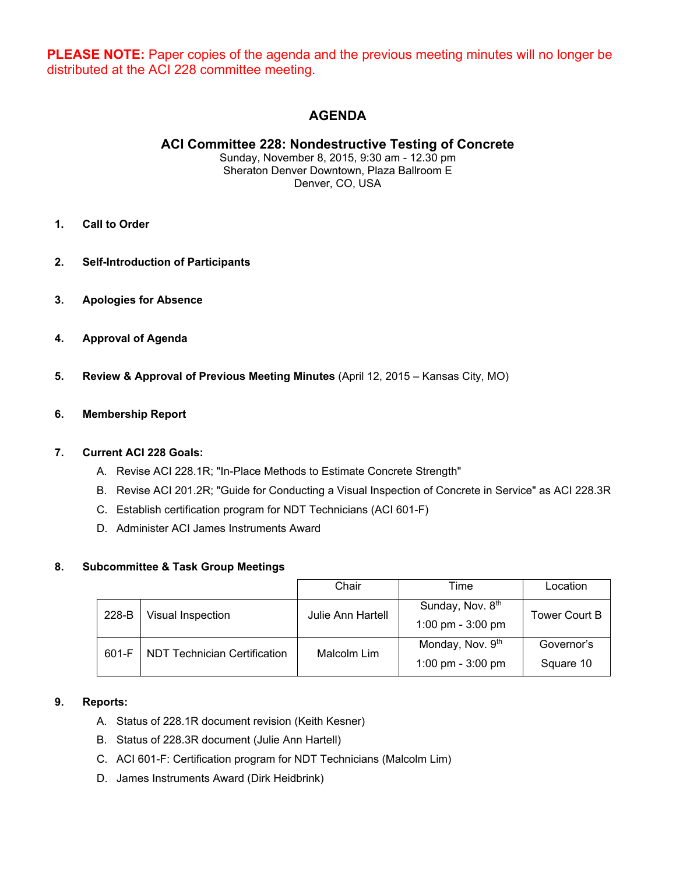**PLEASE NOTE:** Paper copies of the agenda and the previous meeting minutes will no longer be distributed at the ACI 228 committee meeting.

# **AGENDA**

# **ACI Committee 228: Nondestructive Testing of Concrete**

Sunday, November 8, 2015, 9:30 am - 12.30 pm Sheraton Denver Downtown, Plaza Ballroom E Denver, CO, USA

- **1. Call to Order**
- **2. Self-Introduction of Participants**
- **3. Apologies for Absence**
- **4. Approval of Agenda**
- **5. Review & Approval of Previous Meeting Minutes** (April 12, 2015 Kansas City, MO)

#### **6. Membership Report**

#### **7. Current ACI 228 Goals:**

- A. Revise ACI 228.1R; "In-Place Methods to Estimate Concrete Strength"
- B. Revise ACI 201.2R; "Guide for Conducting a Visual Inspection of Concrete in Service" as ACI 228.3R
- C. Establish certification program for NDT Technicians (ACI 601-F)
- D. Administer ACI James Instruments Award

#### **8. Subcommittee & Task Group Meetings**

|       |                                     | Chair             | Time                                              | Location                |
|-------|-------------------------------------|-------------------|---------------------------------------------------|-------------------------|
| 228-B | Visual Inspection                   | Julie Ann Hartell | Sunday, Nov. 8th<br>1:00 pm - 3:00 pm             | Tower Court B           |
| 601-F | <b>NDT Technician Certification</b> | Malcolm Lim       | Monday, Nov. 9 <sup>th</sup><br>1:00 pm - 3:00 pm | Governor's<br>Square 10 |

# **9. Reports:**

- A. Status of 228.1R document revision (Keith Kesner)
- B. Status of 228.3R document (Julie Ann Hartell)
- C. ACI 601-F: Certification program for NDT Technicians (Malcolm Lim)
- D. James Instruments Award (Dirk Heidbrink)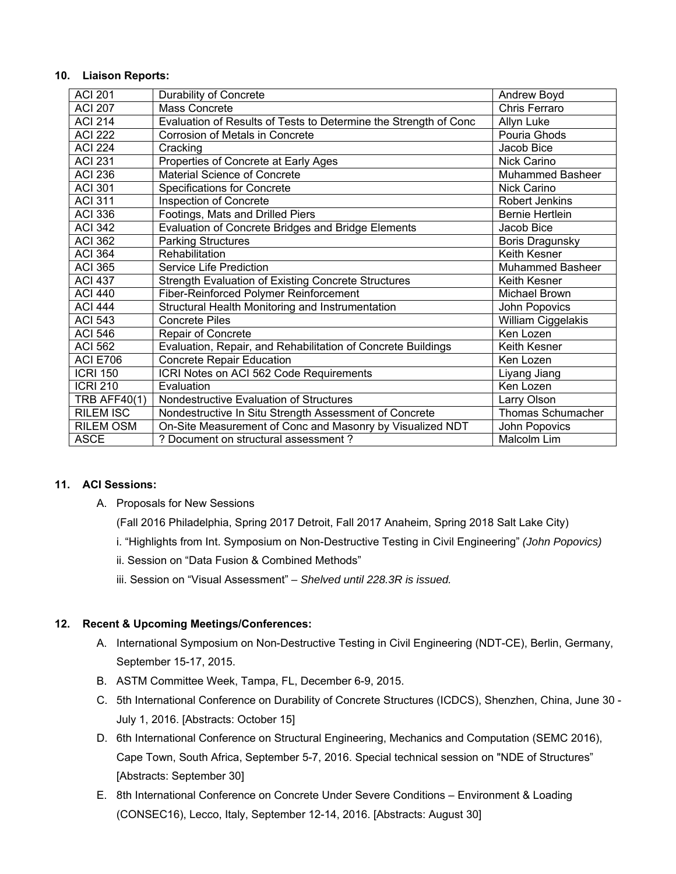#### **10. Liaison Reports:**

| <b>ACI 201</b>      | <b>Durability of Concrete</b>                                    | Andrew Boyd             |
|---------------------|------------------------------------------------------------------|-------------------------|
| <b>ACI 207</b>      | Mass Concrete                                                    | Chris Ferraro           |
| <b>ACI 214</b>      | Evaluation of Results of Tests to Determine the Strength of Conc | Allyn Luke              |
| <b>ACI 222</b>      | Corrosion of Metals in Concrete                                  | Pouria Ghods            |
| <b>ACI 224</b>      | Cracking                                                         | Jacob Bice              |
| <b>ACI 231</b>      | Properties of Concrete at Early Ages                             | Nick Carino             |
| <b>ACI 236</b>      | <b>Material Science of Concrete</b>                              | <b>Muhammed Basheer</b> |
| <b>ACI 301</b>      | <b>Specifications for Concrete</b>                               | Nick Carino             |
| <b>ACI 311</b>      | Inspection of Concrete                                           | Robert Jenkins          |
| <b>ACI 336</b>      | Footings, Mats and Drilled Piers                                 | <b>Bernie Hertlein</b>  |
| <b>ACI 342</b>      | Evaluation of Concrete Bridges and Bridge Elements               | Jacob Bice              |
| <b>ACI 362</b>      | <b>Parking Structures</b>                                        | <b>Boris Dragunsky</b>  |
| <b>ACI 364</b>      | Rehabilitation                                                   | Keith Kesner            |
| <b>ACI 365</b>      | Service Life Prediction                                          | <b>Muhammed Basheer</b> |
| <b>ACI 437</b>      | Strength Evaluation of Existing Concrete Structures              | <b>Keith Kesner</b>     |
| <b>ACI 440</b>      | Fiber-Reinforced Polymer Reinforcement                           | <b>Michael Brown</b>    |
| <b>ACI 444</b>      | Structural Health Monitoring and Instrumentation                 | John Popovics           |
| <b>ACI 543</b>      | <b>Concrete Piles</b>                                            | William Ciggelakis      |
| <b>ACI 546</b>      | <b>Repair of Concrete</b>                                        | Ken Lozen               |
| <b>ACI 562</b>      | Evaluation, Repair, and Rehabilitation of Concrete Buildings     | Keith Kesner            |
| <b>ACI E706</b>     | <b>Concrete Repair Education</b>                                 | Ken Lozen               |
| <b>ICRI 150</b>     | ICRI Notes on ACI 562 Code Requirements                          | Liyang Jiang            |
| <b>ICRI 210</b>     | Evaluation                                                       | Ken Lozen               |
| <b>TRB AFF40(1)</b> | Nondestructive Evaluation of Structures                          | Larry Olson             |
| <b>RILEM ISC</b>    | Nondestructive In Situ Strength Assessment of Concrete           | Thomas Schumacher       |
| RILEM OSM           | On-Site Measurement of Conc and Masonry by Visualized NDT        | John Popovics           |
| <b>ASCE</b>         | ? Document on structural assessment ?                            | Malcolm Lim             |

# **11. ACI Sessions:**

A. Proposals for New Sessions

(Fall 2016 Philadelphia, Spring 2017 Detroit, Fall 2017 Anaheim, Spring 2018 Salt Lake City)

- i. "Highlights from Int. Symposium on Non-Destructive Testing in Civil Engineering" *(John Popovics)*
- ii. Session on "Data Fusion & Combined Methods"
- iii. Session on "Visual Assessment"  *Shelved until 228.3R is issued.*

# **12. Recent & Upcoming Meetings/Conferences:**

- A. International Symposium on Non-Destructive Testing in Civil Engineering (NDT-CE), Berlin, Germany, September 15-17, 2015.
- B. ASTM Committee Week, Tampa, FL, December 6-9, 2015.
- C. 5th International Conference on Durability of Concrete Structures (ICDCS), Shenzhen, China, June 30 July 1, 2016. [Abstracts: October 15]
- D. 6th International Conference on Structural Engineering, Mechanics and Computation (SEMC 2016), Cape Town, South Africa, September 5-7, 2016. Special technical session on "NDE of Structures" [Abstracts: September 30]
- E. 8th International Conference on Concrete Under Severe Conditions Environment & Loading (CONSEC16), Lecco, Italy, September 12-14, 2016. [Abstracts: August 30]